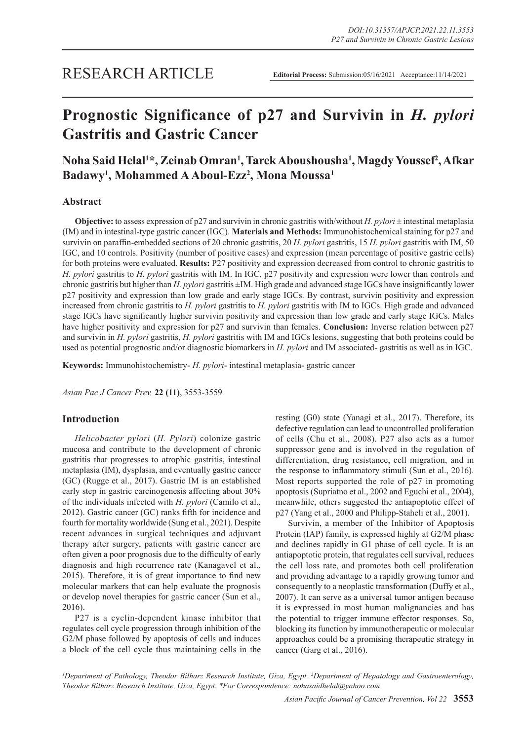# RESEARCH ARTICLE

# **Prognostic Significance of p27 and Survivin in** *H. pylori*  **Gastritis and Gastric Cancer**

# **Noha Said Helal1 \*, Zeinab Omran1 , Tarek Aboushousha1 , Magdy Youssef2 , Afkar Badawy1 , Mohammed A Aboul-Ezz2 , Mona Moussa1**

# **Abstract**

**Objective:** to assess expression of p27 and survivin in chronic gastritis with/without *H. pylori*  $\pm$  intestinal metaplasia (IM) and in intestinal-type gastric cancer (IGC). **Materials and Methods:** Immunohistochemical staining for p27 and survivin on paraffin-embedded sections of 20 chronic gastritis, 20 *H. pylori* gastritis, 15 *H. pylori* gastritis with IM, 50 IGC, and 10 controls. Positivity (number of positive cases) and expression (mean percentage of positive gastric cells) for both proteins were evaluated. **Results:** P27 positivity and expression decreased from control to chronic gastritis to *H. pylori* gastritis to *H. pylori* gastritis with IM. In IGC, p27 positivity and expression were lower than controls and chronic gastritis but higher than *H. pylori* gastritis ±IM. High grade and advanced stage IGCs have insignificantly lower p27 positivity and expression than low grade and early stage IGCs. By contrast, survivin positivity and expression increased from chronic gastritis to *H. pylori* gastritis to *H. pylori* gastritis with IM to IGCs. High grade and advanced stage IGCs have significantly higher survivin positivity and expression than low grade and early stage IGCs. Males have higher positivity and expression for p27 and survivin than females. **Conclusion:** Inverse relation between p27 and survivin in *H. pylori gastritis, H. pylori gastritis with IM and IGCs lesions, suggesting that both proteins could be* used as potential prognostic and/or diagnostic biomarkers in *H. pylori* and IM associated- gastritis as well as in IGC.

**Keywords:** Immunohistochemistry- *H. pylori*- intestinal metaplasia- gastric cancer

*Asian Pac J Cancer Prev,* **22 (11)**, 3553-3559

# **Introduction**

*Helicobacter pylori* (*H. Pylori*) colonize gastric mucosa and contribute to the development of chronic gastritis that progresses to atrophic gastritis, intestinal metaplasia (IM), dysplasia, and eventually gastric cancer (GC) (Rugge et al., 2017). Gastric IM is an established early step in gastric carcinogenesis affecting about 30% of the individuals infected with *H. pylori* (Camilo et al., 2012). Gastric cancer (GC) ranks fifth for incidence and fourth for mortality worldwide (Sung et al., 2021). Despite recent advances in surgical techniques and adjuvant therapy after surgery, patients with gastric cancer are often given a poor prognosis due to the difficulty of early diagnosis and high recurrence rate (Kanagavel et al., 2015). Therefore, it is of great importance to find new molecular markers that can help evaluate the prognosis or develop novel therapies for gastric cancer (Sun et al., 2016).

P27 is a cyclin-dependent kinase inhibitor that regulates cell cycle progression through inhibition of the G2/M phase followed by apoptosis of cells and induces a block of the cell cycle thus maintaining cells in the

resting (G0) state (Yanagi et al., 2017). Therefore, its defective regulation can lead to uncontrolled proliferation of cells (Chu et al., 2008). P27 also acts as a tumor suppressor gene and is involved in the regulation of differentiation, drug resistance, cell migration, and in the response to inflammatory stimuli (Sun et al., 2016). Most reports supported the role of p27 in promoting apoptosis (Supriatno et al., 2002 and Eguchi et al., 2004), meanwhile, others suggested the antiapoptotic effect of p27 (Yang et al., 2000 and Philipp-Staheli et al., 2001).

Survivin, a member of the Inhibitor of Apoptosis Protein (IAP) family, is expressed highly at G2/M phase and declines rapidly in G1 phase of cell cycle. It is an antiapoptotic protein, that regulates cell survival, reduces the cell loss rate, and promotes both cell proliferation and providing advantage to a rapidly growing tumor and consequently to a neoplastic transformation (Duffy et al., 2007). It can serve as a universal tumor antigen because it is expressed in most human malignancies and has the potential to trigger immune effector responses. So, blocking its function by immunotherapeutic or molecular approaches could be a promising therapeutic strategy in cancer (Garg et al., 2016).

<sup>1</sup>Department of Pathology, Theodor Bilharz Research Institute, Giza, Egypt. <sup>2</sup>Department of Hepatology and Gastroenterology, *Theodor Bilharz Research Institute, Giza, Egypt. \*For Correspondence: nohasaidhelal@yahoo.com*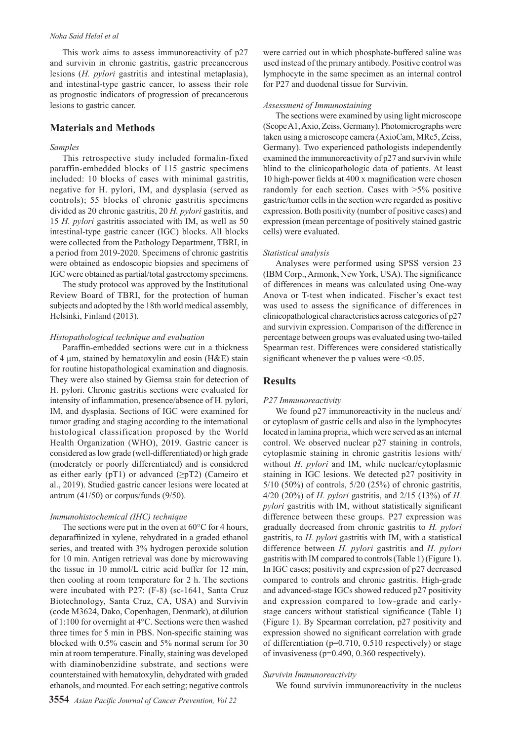#### *Noha Said Helal et al*

This work aims to assess immunoreactivity of p27 and survivin in chronic gastritis, gastric precancerous lesions (*H. pylori* gastritis and intestinal metaplasia), and intestinal-type gastric cancer, to assess their role as prognostic indicators of progression of precancerous lesions to gastric cancer.

## **Materials and Methods**

## *Samples*

This retrospective study included formalin-fixed paraffin-embedded blocks of 115 gastric specimens included: 10 blocks of cases with minimal gastritis, negative for H. pylori, IM, and dysplasia (served as controls); 55 blocks of chronic gastritis specimens divided as 20 chronic gastritis, 20 *H. pylori* gastritis, and 15 *H. pylori* gastritis associated with IM, as well as 50 intestinal-type gastric cancer (IGC) blocks. All blocks were collected from the Pathology Department, TBRI, in a period from 2019-2020. Specimens of chronic gastritis were obtained as endoscopic biopsies and specimens of IGC were obtained as partial/total gastrectomy specimens.

The study protocol was approved by the Institutional Review Board of TBRI, for the protection of human subjects and adopted by the 18th world medical assembly, Helsinki, Finland (2013).

#### *Histopathological technique and evaluation*

Paraffin-embedded sections were cut in a thickness of 4 µm, stained by hematoxylin and eosin (H&E) stain for routine histopathological examination and diagnosis. They were also stained by Giemsa stain for detection of H. pylori. Chronic gastritis sections were evaluated for intensity of inflammation, presence/absence of H. pylori, IM, and dysplasia. Sections of IGC were examined for tumor grading and staging according to the international histological classification proposed by the World Health Organization (WHO), 2019. Gastric cancer is considered as low grade (well-differentiated) or high grade (moderately or poorly differentiated) and is considered as either early (pT1) or advanced  $(\geq pT2)$  (Cameiro et al., 2019). Studied gastric cancer lesions were located at antrum  $(41/50)$  or corpus/funds  $(9/50)$ .

#### *Immunohistochemical (IHC) technique*

The sections were put in the oven at  $60^{\circ}$ C for 4 hours, deparaffinized in xylene, rehydrated in a graded ethanol series, and treated with 3% hydrogen peroxide solution for 10 min. Antigen retrieval was done by microwaving the tissue in 10 mmol/L citric acid buffer for 12 min, then cooling at room temperature for 2 h. The sections were incubated with P27: (F-8) (sc-1641, Santa Cruz Biotechnology, Santa Cruz, CA, USA) and Survivin (code M3624, Dako, Copenhagen, Denmark), at dilution of 1:100 for overnight at 4°C. Sections were then washed three times for 5 min in PBS. Non-specific staining was blocked with 0.5% casein and 5% normal serum for 30 min at room temperature. Finally, staining was developed with diaminobenzidine substrate, and sections were counterstained with hematoxylin, dehydrated with graded ethanols, and mounted. For each setting; negative controls

were carried out in which phosphate-buffered saline was used instead of the primary antibody. Positive control was lymphocyte in the same specimen as an internal control for P27 and duodenal tissue for Survivin.

# *Assessment of Immunostaining*

The sections were examined by using light microscope (Scope A1, Axio, Zeiss, Germany). Photomicrographs were taken using a microscope camera (AxioCam, MRc5, Zeiss, Germany). Two experienced pathologists independently examined the immunoreactivity of p27 and survivin while blind to the clinicopathologic data of patients. At least 10 high-power fields at 400 x magnification were chosen randomly for each section. Cases with  $>5\%$  positive gastric/tumor cells in the section were regarded as positive expression. Both positivity (number of positive cases) and expression (mean percentage of positively stained gastric cells) were evaluated.

#### *Statistical analysis*

Analyses were performed using SPSS version 23 (IBM Corp., Armonk, New York, USA). The significance of differences in means was calculated using One-way Anova or T-test when indicated. Fischer's exact test was used to assess the significance of differences in clinicopathological characteristics across categories of p27 and survivin expression. Comparison of the difference in percentage between groups was evaluated using two-tailed Spearman test. Differences were considered statistically significant whenever the p values were  $\leq 0.05$ .

# **Results**

#### *P27 Immunoreactivity*

We found p27 immunoreactivity in the nucleus and/ or cytoplasm of gastric cells and also in the lymphocytes located in lamina propria, which were served as an internal control. We observed nuclear p27 staining in controls, cytoplasmic staining in chronic gastritis lesions with/ without *H. pylori* and IM, while nuclear/cytoplasmic staining in IGC lesions. We detected p27 positivity in 5/10 (50%) of controls, 5/20 (25%) of chronic gastritis, 4/20 (20%) of *H. pylori* gastritis, and 2/15 (13%) of *H. pylori* gastritis with IM, without statistically significant difference between these groups. P27 expression was gradually decreased from chronic gastritis to *H. pylori*  gastritis, to *H. pylori* gastritis with IM, with a statistical difference between *H. pylori* gastritis and *H. pylori*  gastritis with IM compared to controls (Table 1) (Figure 1). In IGC cases; positivity and expression of p27 decreased compared to controls and chronic gastritis. High-grade and advanced-stage IGCs showed reduced p27 positivity and expression compared to low-grade and earlystage cancers without statistical significance (Table 1) (Figure 1). By Spearman correlation, p27 positivity and expression showed no significant correlation with grade of differentiation (p=0.710, 0.510 respectively) or stage of invasiveness (p=0.490, 0.360 respectively).

#### *Survivin Immunoreactivity*

We found survivin immunoreactivity in the nucleus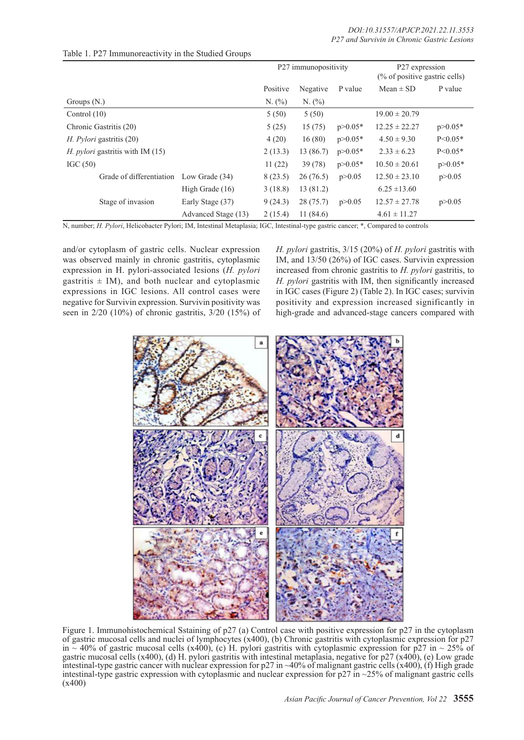|                                           |                     | P27 immunopositivity |           |             | P27 expression<br>$\frac{6}{6}$ of positive gastric cells) |             |
|-------------------------------------------|---------------------|----------------------|-----------|-------------|------------------------------------------------------------|-------------|
|                                           |                     | Positive             | Negative  | P value     | $Mean \pm SD$                                              | P value     |
| Groups $(N)$ .                            |                     | N. (%)               | N. (%)    |             |                                                            |             |
| Control $(10)$                            |                     | 5(50)                | 5(50)     |             | $19.00 \pm 20.79$                                          |             |
| Chronic Gastritis (20)                    |                     | 5(25)                | 15(75)    | $p > 0.05*$ | $12.25 \pm 22.27$                                          | $p > 0.05*$ |
| <i>H. Pylori</i> gastritis (20)           |                     | 4(20)                | 16(80)    | $p > 0.05*$ | $4.50 \pm 9.30$                                            | $P < 0.05*$ |
| H. <i>pylori</i> gastritis with IM $(15)$ |                     | 2(13.3)              | 13 (86.7) | $p > 0.05*$ | $2.33 \pm 6.23$                                            | $P < 0.05*$ |
| IGC $(50)$                                |                     | 11(22)               | 39(78)    | $p > 0.05*$ | $10.50 \pm 20.61$                                          | $p > 0.05*$ |
| Grade of differentiation                  | Low Grade (34)      | 8(23.5)              | 26(76.5)  | p > 0.05    | $12.50 \pm 23.10$                                          | p > 0.05    |
|                                           | High Grade (16)     | 3(18.8)              | 13 (81.2) |             | $6.25 \pm 13.60$                                           |             |
| Stage of invasion                         | Early Stage (37)    | 9(24.3)              | 28(75.7)  | p > 0.05    | $12.57 \pm 27.78$                                          | p > 0.05    |
|                                           | Advanced Stage (13) | 2(15.4)              | 11(84.6)  |             | $4.61 \pm 11.27$                                           |             |

# Table 1. P27 Immunoreactivity in the Studied Groups

N, number; *H. Pylori*, Helicobacter Pylori; IM, Intestinal Metaplasia; IGC, Intestinal-type gastric cancer; \*, Compared to controls

and/or cytoplasm of gastric cells. Nuclear expression was observed mainly in chronic gastritis, cytoplasmic expression in H. pylori-associated lesions (*H. pylori*  gastritis  $\pm$  IM), and both nuclear and cytoplasmic expressions in IGC lesions. All control cases were negative for Survivin expression. Survivin positivity was seen in 2/20 (10%) of chronic gastritis, 3/20 (15%) of *H. pylori* gastritis, 3/15 (20%) of *H. pylori* gastritis with IM, and 13/50 (26%) of IGC cases. Survivin expression increased from chronic gastritis to *H. pylori* gastritis, to *H. pylori* gastritis with IM, then significantly increased in IGC cases (Figure 2) (Table 2). In IGC cases; survivin positivity and expression increased significantly in high-grade and advanced-stage cancers compared with



Figure 1. Immunohistochemical Sstaining of p27 (a) Control case with positive expression for p27 in the cytoplasm of gastric mucosal cells and nuclei of lymphocytes  $(x400)$ , (b) Chronic gastritis with cytoplasmic expression for p27 in  $\sim$  40% of gastric mucosal cells (x400), (c) H. pylori gastritis with cytoplasmic expression for p27 in  $\sim$  25% of gastric mucosal cells (x400), (d) H. pylori gastritis with intestinal metaplasia, negative for p27 (x400), (e) Low grade intestinal-type gastric cancer with nuclear expression for p27 in ~40% of malignant gastric cells (x400), (f) High grade intestinal-type gastric expression with cytoplasmic and nuclear expression for p27 in ~25% of malignant gastric cells (x400)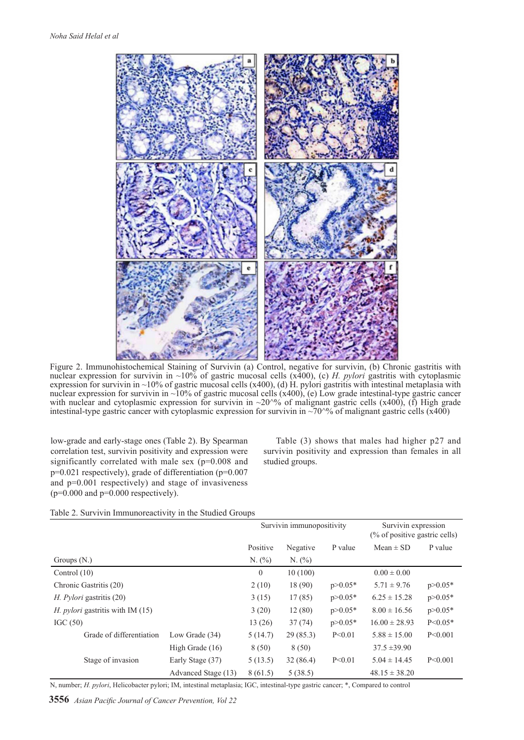

Figure 2. Immunohistochemical Staining of Survivin (a) Control, negative for survivin, (b) Chronic gastritis with nuclear expression for survivin in ~10% of gastric mucosal cells (x400), (c) *H. pylori* gastritis with cytoplasmic expression for survivin in ~10% of gastric mucosal cells (x400), (d) H. pylori gastritis with intestinal metaplasia with nuclear expression for survivin in  $\sim$ 10% of gastric mucosal cells (x400), (e) Low grade intestinal-type gastric cancer with nuclear and cytoplasmic expression for survivin in  $\sim 20^{\circ}\%$  of malignant gastric cells (x400), (f) High grade intestinal-type gastric cancer with cytoplasmic expression for survivin in  $\sim 70\%$  of malignant gastric cells (x400)

low-grade and early-stage ones (Table 2). By Spearman correlation test, survivin positivity and expression were significantly correlated with male sex (p=0.008 and p=0.021 respectively), grade of differentiation (p=0.007 and p=0.001 respectively) and stage of invasiveness  $(p=0.000$  and  $p=0.000$  respectively).

Table (3) shows that males had higher p27 and survivin positivity and expression than females in all studied groups.

|  | Table 2. Survivin Immunoreactivity in the Studied Groups |  |
|--|----------------------------------------------------------|--|
|--|----------------------------------------------------------|--|

|                                         |                     | Survivin immunopositivity |          |             | Survivin expression<br>$%$ of positive gastric cells) |             |
|-----------------------------------------|---------------------|---------------------------|----------|-------------|-------------------------------------------------------|-------------|
|                                         |                     | Positive                  | Negative | P value     | $Mean \pm SD$                                         | P value     |
| Groups $(N)$ .                          |                     | N. (%)                    | N. (%)   |             |                                                       |             |
| Control $(10)$                          |                     | $\mathbf{0}$              | 10(100)  |             | $0.00 \pm 0.00$                                       |             |
| Chronic Gastritis (20)                  |                     | 2(10)                     | 18 (90)  | $p > 0.05*$ | $5.71 \pm 9.76$                                       | $p > 0.05*$ |
| <i>H. Pylori</i> gastritis (20)         |                     | 3(15)                     | 17(85)   | $p > 0.05*$ | $6.25 \pm 15.28$                                      | $p > 0.05*$ |
| <i>H. pylori</i> gastritis with IM (15) |                     | 3(20)                     | 12(80)   | $p > 0.05*$ | $8.00 \pm 16.56$                                      | $p > 0.05*$ |
| IGC $(50)$                              |                     | 13(26)                    | 37(74)   | $p > 0.05*$ | $16.00 \pm 28.93$                                     | $P < 0.05*$ |
| Grade of differentiation                | Low Grade $(34)$    | 5(14.7)                   | 29(85.3) | P < 0.01    | $5.88 \pm 15.00$                                      | P < 0.001   |
|                                         | High Grade (16)     | 8 (50)                    | 8(50)    |             | $37.5 \pm 39.90$                                      |             |
| Stage of invasion                       | Early Stage (37)    | 5(13.5)                   | 32(86.4) | P < 0.01    | $5.04 \pm 14.45$                                      | P < 0.001   |
|                                         | Advanced Stage (13) | 8(61.5)                   | 5(38.5)  |             | $48.15 \pm 38.20$                                     |             |

N, number; *H. pylori*, Helicobacter pylori; IM, intestinal metaplasia; IGC, intestinal-type gastric cancer; \*, Compared to control

**3556** *Asian Pacific Journal of Cancer Prevention, Vol 22*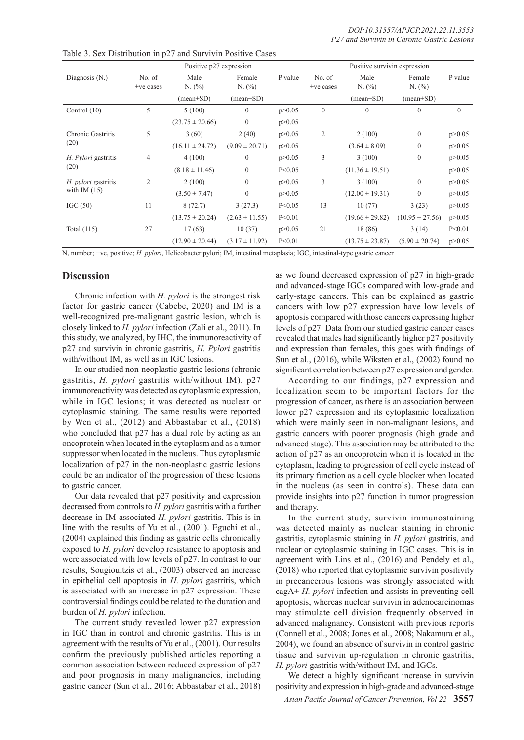|                                       | Positive p27 expression |                               |                    |          | Positive survivin expression |                               |                               |              |
|---------------------------------------|-------------------------|-------------------------------|--------------------|----------|------------------------------|-------------------------------|-------------------------------|--------------|
| Diagnosis $(N.)$                      | No. of<br>+ve cases     | Male<br>N. (%)                | Female<br>N. (%)   | P value  | No. of<br>+ve cases          | Male<br>N. (%)                | Female<br>N. (%)              | P value      |
|                                       |                         | $(\text{mean} \pm \text{SD})$ | $(mean \pm SD)$    |          |                              | $(\text{mean} \pm \text{SD})$ | $(\text{mean} \pm \text{SD})$ |              |
| Control $(10)$                        | 5                       | 5(100)                        | $\mathbf{0}$       | p > 0.05 | $\mathbf{0}$                 | $\theta$                      | $\Omega$                      | $\mathbf{0}$ |
|                                       |                         | $(23.75 \pm 20.66)$           | $\mathbf{0}$       | p > 0.05 |                              |                               |                               |              |
| Chronic Gastritis<br>(20)             | 5                       | 3(60)                         | 2(40)              | p > 0.05 | $\overline{2}$               | 2(100)                        | $\overline{0}$                | p > 0.05     |
|                                       |                         | $(16.11 \pm 24.72)$           | $(9.09 \pm 20.71)$ | p > 0.05 |                              | $(3.64 \pm 8.09)$             | $\Omega$                      | p > 0.05     |
| H. Pylori gastritis<br>(20)           | $\overline{4}$          | 4(100)                        | $\theta$           | p > 0.05 | 3                            | 3(100)                        | $\mathbf{0}$                  | p > 0.05     |
|                                       |                         | $(8.18 \pm 11.46)$            | $\mathbf{0}$       | P < 0.05 |                              | $(11.36 \pm 19.51)$           |                               | p > 0.05     |
| H. pylori gastritis<br>with IM $(15)$ | $\overline{2}$          | 2(100)                        | $\theta$           | p > 0.05 | 3                            | 3(100)                        | $\Omega$                      | p > 0.05     |
|                                       |                         | $(3.50 \pm 7.47)$             | $\mathbf{0}$       | p > 0.05 |                              | $(12.00 \pm 19.31)$           | $\Omega$                      | p > 0.05     |
| IGC $(50)$                            | 11                      | 8(72.7)                       | 3(27.3)            | P < 0.05 | 13                           | 10(77)                        | 3(23)                         | p > 0.05     |
|                                       |                         | $(13.75 \pm 20.24)$           | $(2.63 \pm 11.55)$ | P < 0.01 |                              | $(19.66 \pm 29.82)$           | $(10.95 \pm 27.56)$           | p > 0.05     |
| Total (115)                           | 27                      | 17(63)                        | 10(37)             | p > 0.05 | 21                           | 18 (86)                       | 3(14)                         | P < 0.01     |
|                                       |                         | $(12.90 \pm 20.44)$           | $(3.17 \pm 11.92)$ | P < 0.01 |                              | $(13.75 \pm 23.87)$           | $(5.90 \pm 20.74)$            | p > 0.05     |

Table 3. Sex Distribution in p27 and Survivin Positive Cases

N, number; +ve, positive; *H. pylori*, Helicobacter pylori; IM, intestinal metaplasia; IGC, intestinal-type gastric cancer

# **Discussion**

Chronic infection with *H. pylori* is the strongest risk factor for gastric cancer (Cabebe, 2020) and IM is a well-recognized pre-malignant gastric lesion, which is closely linked to *H. pylori* infection (Zali et al., 2011). In this study, we analyzed, by IHC, the immunoreactivity of p27 and survivin in chronic gastritis, *H. Pylori* gastritis with/without IM, as well as in IGC lesions.

In our studied non-neoplastic gastric lesions (chronic gastritis, *H. pylori* gastritis with/without IM), p27 immunoreactivity was detected as cytoplasmic expression, while in IGC lesions; it was detected as nuclear or cytoplasmic staining. The same results were reported by Wen et al., (2012) and Abbastabar et al., (2018) who concluded that p27 has a dual role by acting as an oncoprotein when located in the cytoplasm and as a tumor suppressor when located in the nucleus. Thus cytoplasmic localization of p27 in the non-neoplastic gastric lesions could be an indicator of the progression of these lesions to gastric cancer.

Our data revealed that p27 positivity and expression decreased from controls to *H. pylori* gastritis with a further decrease in IM-associated *H. pylori* gastritis. This is in line with the results of Yu et al., (2001). Eguchi et al., (2004) explained this finding as gastric cells chronically exposed to *H. pylori* develop resistance to apoptosis and were associated with low levels of p27. In contrast to our results, Sougioultzis et al., (2003) observed an increase in epithelial cell apoptosis in *H. pylori* gastritis, which is associated with an increase in p27 expression. These controversial findings could be related to the duration and burden of *H. pylori* infection.

The current study revealed lower p27 expression in IGC than in control and chronic gastritis. This is in agreement with the results of Yu et al., (2001). Our results confirm the previously published articles reporting a common association between reduced expression of p27 and poor prognosis in many malignancies, including gastric cancer (Sun et al., 2016; Abbastabar et al., 2018)

as we found decreased expression of p27 in high-grade and advanced-stage IGCs compared with low-grade and early-stage cancers. This can be explained as gastric cancers with low p27 expression have low levels of apoptosis compared with those cancers expressing higher levels of p27. Data from our studied gastric cancer cases revealed that males had significantly higher p27 positivity and expression than females, this goes with findings of Sun et al., (2016), while Wiksten et al., (2002) found no significant correlation between p27 expression and gender.

According to our findings, p27 expression and localization seem to be important factors for the progression of cancer, as there is an association between lower p27 expression and its cytoplasmic localization which were mainly seen in non-malignant lesions, and gastric cancers with poorer prognosis (high grade and advanced stage). This association may be attributed to the action of p27 as an oncoprotein when it is located in the cytoplasm, leading to progression of cell cycle instead of its primary function as a cell cycle blocker when located in the nucleus (as seen in controls). These data can provide insights into p27 function in tumor progression and therapy.

In the current study, survivin immunostaining was detected mainly as nuclear staining in chronic gastritis, cytoplasmic staining in *H. pylori* gastritis, and nuclear or cytoplasmic staining in IGC cases. This is in agreement with Lins et al., (2016) and Pendely et al., (2018) who reported that cytoplasmic survivin positivity in precancerous lesions was strongly associated with cagA+ *H. pylori* infection and assists in preventing cell apoptosis, whereas nuclear survivin in adenocarcinomas may stimulate cell division frequently observed in advanced malignancy. Consistent with previous reports (Connell et al., 2008; Jones et al., 2008; Nakamura et al., 2004), we found an absence of survivin in control gastric tissue and survivin up-regulation in chronic gastritis, *H. pylori* gastritis with/without IM, and IGCs.

We detect a highly significant increase in survivin positivity and expression in high-grade and advanced-stage

*Asian Pacific Journal of Cancer Prevention, Vol 22* **3557**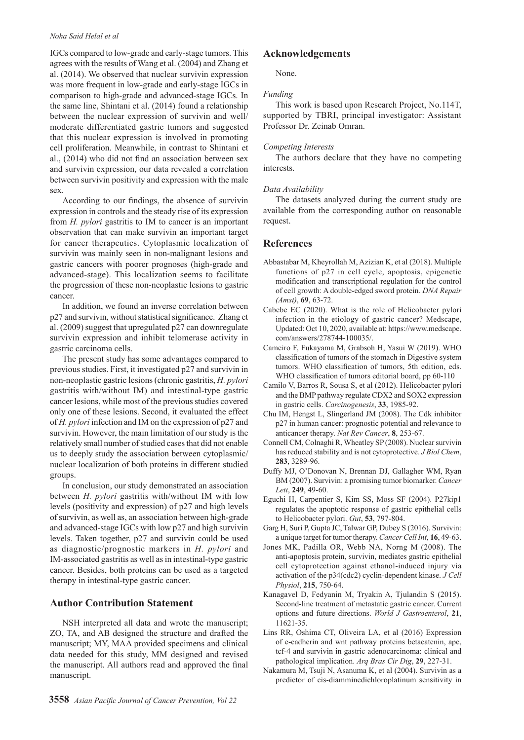#### *Noha Said Helal et al*

IGCs compared to low-grade and early-stage tumors. This agrees with the results of Wang et al. (2004) and Zhang et al. (2014). We observed that nuclear survivin expression was more frequent in low-grade and early-stage IGCs in comparison to high-grade and advanced-stage IGCs. In the same line, Shintani et al. (2014) found a relationship between the nuclear expression of survivin and well/ moderate differentiated gastric tumors and suggested that this nuclear expression is involved in promoting cell proliferation. Meanwhile, in contrast to Shintani et al., (2014) who did not find an association between sex and survivin expression, our data revealed a correlation between survivin positivity and expression with the male sex.

According to our findings, the absence of survivin expression in controls and the steady rise of its expression from *H. pylori* gastritis to IM to cancer is an important observation that can make survivin an important target for cancer therapeutics. Cytoplasmic localization of survivin was mainly seen in non-malignant lesions and gastric cancers with poorer prognoses (high-grade and advanced-stage). This localization seems to facilitate the progression of these non-neoplastic lesions to gastric cancer.

In addition, we found an inverse correlation between p27 and survivin, without statistical significance. Zhang et al. (2009) suggest that upregulated p27 can downregulate survivin expression and inhibit telomerase activity in gastric carcinoma cells.

The present study has some advantages compared to previous studies. First, it investigated p27 and survivin in non-neoplastic gastric lesions (chronic gastritis, *H. pylori*  gastritis with/without IM) and intestinal-type gastric cancer lesions, while most of the previous studies covered only one of these lesions. Second, it evaluated the effect of *H. pylori* infection and IM on the expression of p27 and survivin. However, the main limitation of our study is the relatively small number of studied cases that did not enable us to deeply study the association between cytoplasmic/ nuclear localization of both proteins in different studied groups.

In conclusion, our study demonstrated an association between *H. pylori* gastritis with/without IM with low levels (positivity and expression) of p27 and high levels of survivin, as well as, an association between high-grade and advanced-stage IGCs with low p27 and high survivin levels. Taken together, p27 and survivin could be used as diagnostic/prognostic markers in *H. pylori* and IM-associated gastritis as well as in intestinal-type gastric cancer. Besides, both proteins can be used as a targeted therapy in intestinal-type gastric cancer.

# **Author Contribution Statement**

NSH interpreted all data and wrote the manuscript; ZO, TA, and AB designed the structure and drafted the manuscript; MY, MAA provided specimens and clinical data needed for this study, MM designed and revised the manuscript. All authors read and approved the final manuscript.

# **Acknowledgements**

None.

#### *Funding*

This work is based upon Research Project, No.114T, supported by TBRI, principal investigator: Assistant Professor Dr. Zeinab Omran.

#### *Competing Interests*

The authors declare that they have no competing interests.

#### *Data Availability*

The datasets analyzed during the current study are available from the corresponding author on reasonable request.

# **References**

- Abbastabar M, Kheyrollah M, Azizian K, et al (2018). Multiple functions of p27 in cell cycle, apoptosis, epigenetic modification and transcriptional regulation for the control of cell growth: A double-edged sword protein. *DNA Repair (Amst)*, **69**, 63-72.
- Cabebe EC (2020). What is the role of Helicobacter pylori infection in the etiology of gastric cancer? Medscape, Updated: Oct 10, 2020, available at: https://www.medscape. com/answers/278744-100035/.
- Cameiro F, Fukayama M, Grabsoh H, Yasui W (2019). WHO classification of tumors of the stomach in Digestive system tumors. WHO classification of tumors, 5th edition, eds. WHO classification of tumors editorial board, pp 60-110
- Camilo V, Barros R, Sousa S, et al (2012). Helicobacter pylori and the BMP pathway regulate CDX2 and SOX2 expression in gastric cells. *Carcinogenesis*, **33**, 1985-92.
- Chu IM, Hengst L, Slingerland JM (2008). The Cdk inhibitor p27 in human cancer: prognostic potential and relevance to anticancer therapy. *Nat Rev Cancer*, **8**, 253-67.
- Connell CM, Colnaghi R, Wheatley SP (2008). Nuclear survivin has reduced stability and is not cytoprotective. *J Biol Chem*, **283**, 3289-96.
- Duffy MJ, O'Donovan N, Brennan DJ, Gallagher WM, Ryan BM (2007). Survivin: a promising tumor biomarker. *Cancer Lett*, **249**, 49-60.
- Eguchi H, Carpentier S, Kim SS, Moss SF (2004). P27kip1 regulates the apoptotic response of gastric epithelial cells to Helicobacter pylori. *Gut*, **53**, 797-804.
- Garg H, Suri P, Gupta JC, Talwar GP, Dubey S (2016). Survivin: a unique target for tumor therapy. *Cancer Cell Int*, **16**, 49-63.
- Jones MK, Padilla OR, Webb NA, Norng M (2008). The anti-apoptosis protein, survivin, mediates gastric epithelial cell cytoprotection against ethanol-induced injury via activation of the p34(cdc2) cyclin-dependent kinase. *J Cell Physiol*, **215**, 750-64.
- Kanagavel D, Fedyanin M, Tryakin A, Tjulandin S (2015). Second-line treatment of metastatic gastric cancer. Current options and future directions. *World J Gastroenterol*, **21**, 11621-35.
- Lins RR, Oshima CT, Oliveira LA, et al (2016) Expression of e-cadherin and wnt pathway proteins betacatenin, apc, tcf-4 and survivin in gastric adenocarcinoma: clinical and pathological implication. *Arq Bras Cir Dig*, **29**, 227-31.
- Nakamura M, Tsuji N, Asanuma K, et al (2004). Survivin as a predictor of cis-diamminedichloroplatinum sensitivity in